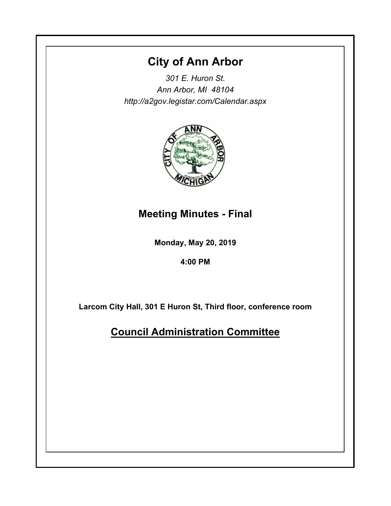# **City of Ann Arbor**

*301 E. Huron St. Ann Arbor, MI 48104 http://a2gov.legistar.com/Calendar.aspx*



# **Meeting Minutes - Final**

**Monday, May 20, 2019**

**4:00 PM**

**Larcom City Hall, 301 E Huron St, Third floor, conference room**

**Council Administration Committee**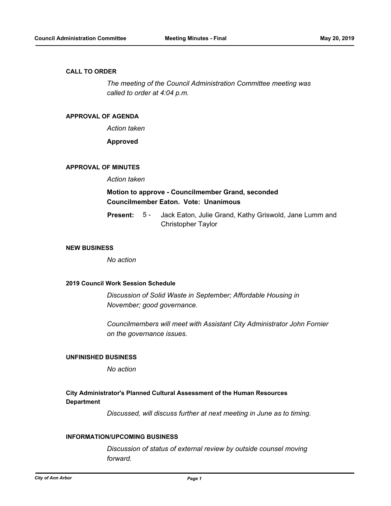#### **CALL TO ORDER**

*The meeting of the Council Administration Committee meeting was called to order at 4:04 p.m.*

#### **APPROVAL OF AGENDA**

*Action taken*

**Approved**

#### **APPROVAL OF MINUTES**

*Action taken*

## **Motion to approve - Councilmember Grand, seconded Councilmember Eaton. Vote: Unanimous**

Jack Eaton, Julie Grand, Kathy Griswold, Jane Lumm and Christopher Taylor **Present:** 5 -

#### **NEW BUSINESS**

*No action*

#### **2019 Council Work Session Schedule**

*Discussion of Solid Waste in September; Affordable Housing in November; good governance.*

*Councilmembers will meet with Assistant City Administrator John Fornier on the governance issues.*

### **UNFINISHED BUSINESS**

*No action*

### **City Administrator's Planned Cultural Assessment of the Human Resources Department**

*Discussed, will discuss further at next meeting in June as to timing.*

#### **INFORMATION/UPCOMING BUSINESS**

*Discussion of status of external review by outside counsel moving forward.*